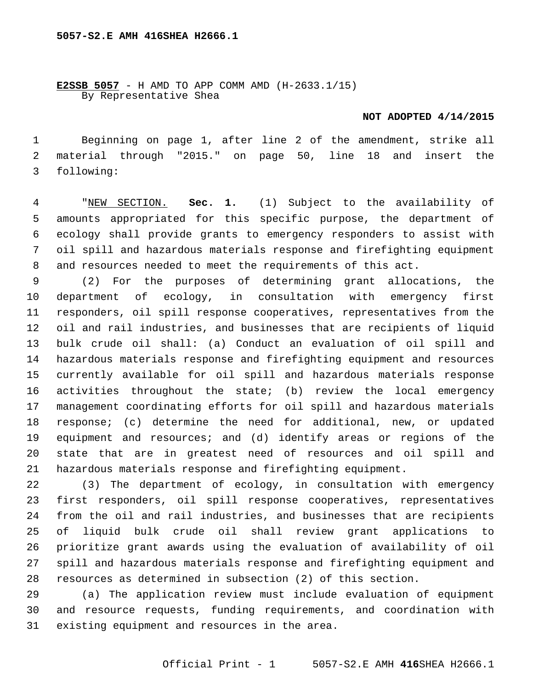**E2SSB 5057** - H AMD TO APP COMM AMD (H-2633.1/15) By Representative Shea

## **NOT ADOPTED 4/14/2015**

 Beginning on page 1, after line 2 of the amendment, strike all material through "2015." on page 50, line 18 and insert the following:3

 "NEW SECTION. **Sec. 1.** (1) Subject to the availability of amounts appropriated for this specific purpose, the department of ecology shall provide grants to emergency responders to assist with oil spill and hazardous materials response and firefighting equipment and resources needed to meet the requirements of this act.

 (2) For the purposes of determining grant allocations, the department of ecology, in consultation with emergency first responders, oil spill response cooperatives, representatives from the oil and rail industries, and businesses that are recipients of liquid bulk crude oil shall: (a) Conduct an evaluation of oil spill and hazardous materials response and firefighting equipment and resources currently available for oil spill and hazardous materials response activities throughout the state; (b) review the local emergency management coordinating efforts for oil spill and hazardous materials response; (c) determine the need for additional, new, or updated equipment and resources; and (d) identify areas or regions of the state that are in greatest need of resources and oil spill and hazardous materials response and firefighting equipment.

 (3) The department of ecology, in consultation with emergency first responders, oil spill response cooperatives, representatives from the oil and rail industries, and businesses that are recipients of liquid bulk crude oil shall review grant applications to prioritize grant awards using the evaluation of availability of oil spill and hazardous materials response and firefighting equipment and resources as determined in subsection (2) of this section.

 (a) The application review must include evaluation of equipment and resource requests, funding requirements, and coordination with 31 existing equipment and resources in the area.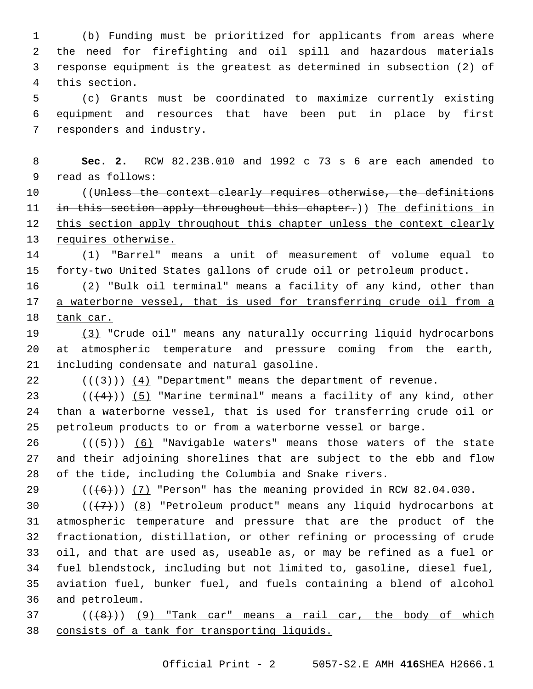(b) Funding must be prioritized for applicants from areas where the need for firefighting and oil spill and hazardous materials response equipment is the greatest as determined in subsection (2) of 4 this section.

 (c) Grants must be coordinated to maximize currently existing equipment and resources that have been put in place by first 7 responders and industry.

 **Sec. 2.** RCW 82.23B.010 and 1992 c 73 s 6 are each amended to 9 read as follows:

10 ((Unless the context clearly requires otherwise, the definitions 11 in this section apply throughout this chapter.)) The definitions in 12 this section apply throughout this chapter unless the context clearly 13 requires otherwise.

 (1) "Barrel" means a unit of measurement of volume equal to forty-two United States gallons of crude oil or petroleum product.

 (2) "Bulk oil terminal" means a facility of any kind, other than a waterborne vessel, that is used for transferring crude oil from a 18 tank car.

 (3) "Crude oil" means any naturally occurring liquid hydrocarbons at atmospheric temperature and pressure coming from the earth, 21 including condensate and natural gasoline.

22  $((+3))$   $(4)$  "Department" means the department of revenue.

23  $((+4))$  (5) "Marine terminal" means a facility of any kind, other than a waterborne vessel, that is used for transferring crude oil or petroleum products to or from a waterborne vessel or barge.

 (( $\left(\frac{1}{5}\right)$ ) (6) "Navigable waters" means those waters of the state and their adjoining shorelines that are subject to the ebb and flow of the tide, including the Columbia and Snake rivers.

29  $((+6))$   $(7)$  "Person" has the meaning provided in RCW 82.04.030.

 $((+7+))$   $(8)$  "Petroleum product" means any liquid hydrocarbons at atmospheric temperature and pressure that are the product of the fractionation, distillation, or other refining or processing of crude oil, and that are used as, useable as, or may be refined as a fuel or fuel blendstock, including but not limited to, gasoline, diesel fuel, aviation fuel, bunker fuel, and fuels containing a blend of alcohol and petroleum.36

 ( $(48)$ ))  $(9)$  "Tank car" means a rail car, the body of which consists of a tank for transporting liquids.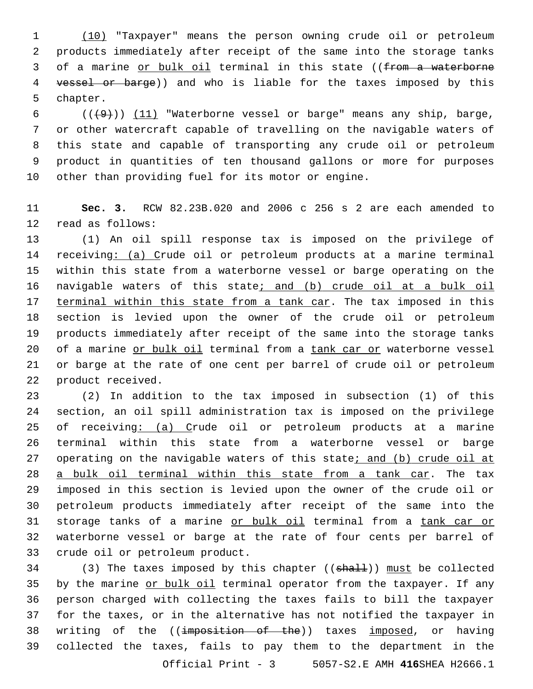1 (10) "Taxpayer" means the person owning crude oil or petroleum 2 products immediately after receipt of the same into the storage tanks 3 of a marine or bulk oil terminal in this state ((from a waterborne 4 vessel or barge)) and who is liable for the taxes imposed by this 5 chapter.

 $((+9))$   $(11)$  "Waterborne vessel or barge" means any ship, barge, or other watercraft capable of travelling on the navigable waters of this state and capable of transporting any crude oil or petroleum product in quantities of ten thousand gallons or more for purposes other than providing fuel for its motor or engine.

11 **Sec. 3.** RCW 82.23B.020 and 2006 c 256 s 2 are each amended to 12 read as follows:

13 (1) An oil spill response tax is imposed on the privilege of 14 receiving: (a) Crude oil or petroleum products at a marine terminal 15 within this state from a waterborne vessel or barge operating on the 16 navigable waters of this state; and (b) crude oil at a bulk oil 17 terminal within this state from a tank car. The tax imposed in this 18 section is levied upon the owner of the crude oil or petroleum 19 products immediately after receipt of the same into the storage tanks 20 of a marine or bulk oil terminal from a tank car or waterborne vessel 21 or barge at the rate of one cent per barrel of crude oil or petroleum 22 product received.

 (2) In addition to the tax imposed in subsection (1) of this section, an oil spill administration tax is imposed on the privilege 25 of receiving: (a) Crude oil or petroleum products at a marine terminal within this state from a waterborne vessel or barge 27 operating on the navigable waters of this state; and (b) crude oil at a bulk oil terminal within this state from a tank car. The tax imposed in this section is levied upon the owner of the crude oil or petroleum products immediately after receipt of the same into the 31 storage tanks of a marine or bulk oil terminal from a tank car or waterborne vessel or barge at the rate of four cents per barrel of 33 crude oil or petroleum product.

34 (3) The taxes imposed by this chapter ((shall)) must be collected 35 by the marine or bulk oil terminal operator from the taxpayer. If any 36 person charged with collecting the taxes fails to bill the taxpayer 37 for the taxes, or in the alternative has not notified the taxpayer in 38 writing of the ((imposition of the)) taxes imposed, or having 39 collected the taxes, fails to pay them to the department in the Official Print - 3 5057-S2.E AMH **416**SHEA H2666.1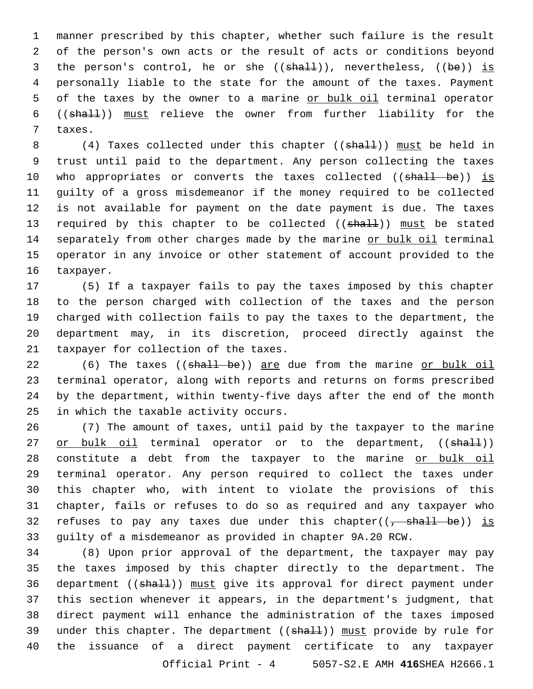1 manner prescribed by this chapter, whether such failure is the result 2 of the person's own acts or the result of acts or conditions beyond 3 the person's control, he or she  $((shall))$ , nevertheless,  $((be))$  is 4 personally liable to the state for the amount of the taxes. Payment 5 of the taxes by the owner to a marine or bulk oil terminal operator 6 ((shall)) must relieve the owner from further liability for the 7 taxes.

8 (4) Taxes collected under this chapter ((shall)) must be held in 9 trust until paid to the department. Any person collecting the taxes 10 who appropriates or converts the taxes collected ((shall be)) is 11 guilty of a gross misdemeanor if the money required to be collected 12 is not available for payment on the date payment is due. The taxes 13 required by this chapter to be collected ((shall)) must be stated 14 separately from other charges made by the marine or bulk oil terminal 15 operator in any invoice or other statement of account provided to the 16 taxpayer.

 (5) If a taxpayer fails to pay the taxes imposed by this chapter to the person charged with collection of the taxes and the person charged with collection fails to pay the taxes to the department, the department may, in its discretion, proceed directly against the 21 taxpayer for collection of the taxes.

22 (6) The taxes ((shall be)) are due from the marine or bulk oil 23 terminal operator, along with reports and returns on forms prescribed 24 by the department, within twenty-five days after the end of the month 25 in which the taxable activity occurs.

 (7) The amount of taxes, until paid by the taxpayer to the marine 27 or bulk oil terminal operator or to the department, ((shall)) 28 constitute a debt from the taxpayer to the marine or bulk oil terminal operator. Any person required to collect the taxes under this chapter who, with intent to violate the provisions of this chapter, fails or refuses to do so as required and any taxpayer who 32 refuses to pay any taxes due under this chapter( $(-$ shall be)) is guilty of a misdemeanor as provided in chapter 9A.20 RCW.

 (8) Upon prior approval of the department, the taxpayer may pay the taxes imposed by this chapter directly to the department. The 36 department ((shall)) must give its approval for direct payment under this section whenever it appears, in the department's judgment, that direct payment will enhance the administration of the taxes imposed 39 under this chapter. The department ((shall)) must provide by rule for the issuance of a direct payment certificate to any taxpayer Official Print - 4 5057-S2.E AMH **416**SHEA H2666.1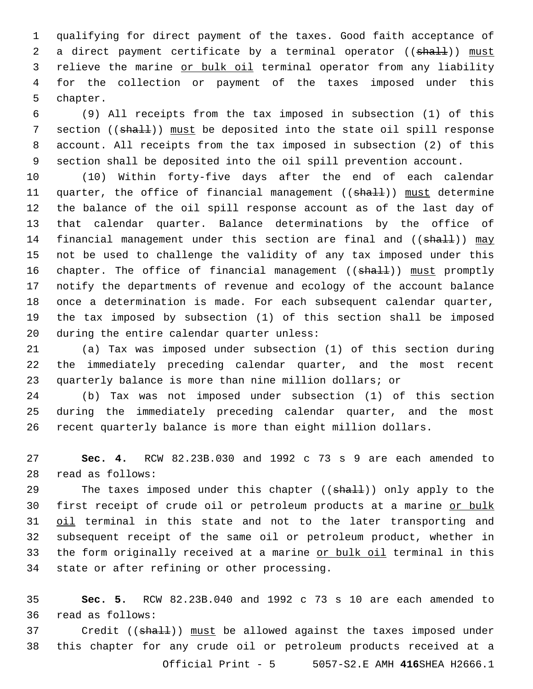1 qualifying for direct payment of the taxes. Good faith acceptance of 2 a direct payment certificate by a terminal operator ((shall)) must 3 relieve the marine or bulk oil terminal operator from any liability 4 for the collection or payment of the taxes imposed under this 5 chapter.

 (9) All receipts from the tax imposed in subsection (1) of this 7 section ((shall)) must be deposited into the state oil spill response account. All receipts from the tax imposed in subsection (2) of this section shall be deposited into the oil spill prevention account.

 (10) Within forty-five days after the end of each calendar 11 quarter, the office of financial management (( $\frac{1}{n}$ )) must determine the balance of the oil spill response account as of the last day of that calendar quarter. Balance determinations by the office of 14 financial management under this section are final and ((shall)) may not be used to challenge the validity of any tax imposed under this 16 chapter. The office of financial management ((shall)) must promptly notify the departments of revenue and ecology of the account balance once a determination is made. For each subsequent calendar quarter, the tax imposed by subsection (1) of this section shall be imposed 20 during the entire calendar quarter unless:

21 (a) Tax was imposed under subsection (1) of this section during 22 the immediately preceding calendar quarter, and the most recent 23 quarterly balance is more than nine million dollars; or

24 (b) Tax was not imposed under subsection (1) of this section 25 during the immediately preceding calendar quarter, and the most 26 recent quarterly balance is more than eight million dollars.

27 **Sec. 4.** RCW 82.23B.030 and 1992 c 73 s 9 are each amended to read as follows:28

29 The taxes imposed under this chapter ((shall)) only apply to the 30 first receipt of crude oil or petroleum products at a marine or bulk 31 oil terminal in this state and not to the later transporting and 32 subsequent receipt of the same oil or petroleum product, whether in 33 the form originally received at a marine or bulk oil terminal in this 34 state or after refining or other processing.

35 **Sec. 5.** RCW 82.23B.040 and 1992 c 73 s 10 are each amended to 36 read as follows:

37 Credit ((shall)) must be allowed against the taxes imposed under 38 this chapter for any crude oil or petroleum products received at a Official Print - 5 5057-S2.E AMH **416**SHEA H2666.1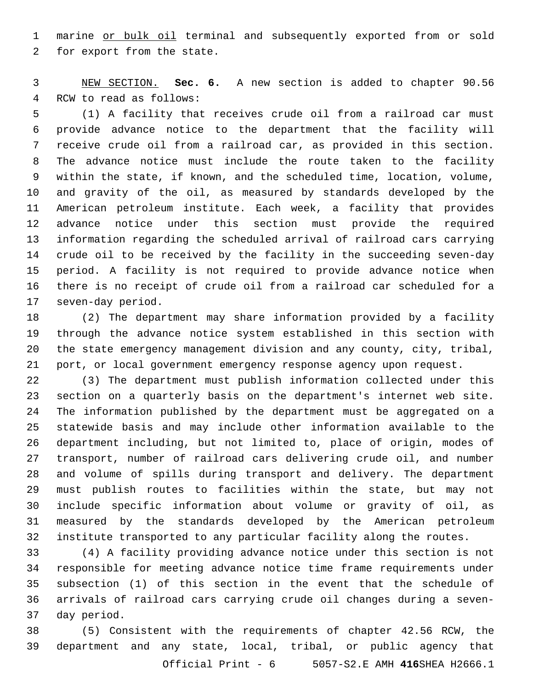marine or bulk oil terminal and subsequently exported from or sold 2 for export from the state.

 NEW SECTION. **Sec. 6.** A new section is added to chapter 90.56 4 RCW to read as follows:

 (1) A facility that receives crude oil from a railroad car must provide advance notice to the department that the facility will receive crude oil from a railroad car, as provided in this section. The advance notice must include the route taken to the facility within the state, if known, and the scheduled time, location, volume, and gravity of the oil, as measured by standards developed by the American petroleum institute. Each week, a facility that provides advance notice under this section must provide the required information regarding the scheduled arrival of railroad cars carrying crude oil to be received by the facility in the succeeding seven-day period. A facility is not required to provide advance notice when there is no receipt of crude oil from a railroad car scheduled for a 17 seven-day period.

 (2) The department may share information provided by a facility through the advance notice system established in this section with the state emergency management division and any county, city, tribal, port, or local government emergency response agency upon request.

 (3) The department must publish information collected under this section on a quarterly basis on the department's internet web site. The information published by the department must be aggregated on a statewide basis and may include other information available to the department including, but not limited to, place of origin, modes of transport, number of railroad cars delivering crude oil, and number and volume of spills during transport and delivery. The department must publish routes to facilities within the state, but may not include specific information about volume or gravity of oil, as measured by the standards developed by the American petroleum institute transported to any particular facility along the routes.

 (4) A facility providing advance notice under this section is not responsible for meeting advance notice time frame requirements under subsection (1) of this section in the event that the schedule of arrivals of railroad cars carrying crude oil changes during a seven-37 day period.

 (5) Consistent with the requirements of chapter 42.56 RCW, the department and any state, local, tribal, or public agency that Official Print - 6 5057-S2.E AMH **416**SHEA H2666.1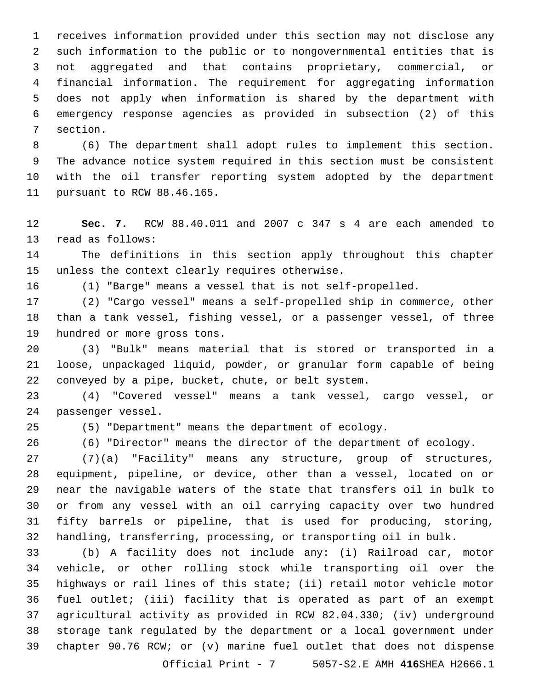receives information provided under this section may not disclose any such information to the public or to nongovernmental entities that is not aggregated and that contains proprietary, commercial, or financial information. The requirement for aggregating information does not apply when information is shared by the department with emergency response agencies as provided in subsection (2) of this 7 section.

 (6) The department shall adopt rules to implement this section. The advance notice system required in this section must be consistent with the oil transfer reporting system adopted by the department 11 pursuant to RCW 88.46.165.

 **Sec. 7.** RCW 88.40.011 and 2007 c 347 s 4 are each amended to 13 read as follows:

 The definitions in this section apply throughout this chapter 15 unless the context clearly requires otherwise.

(1) "Barge" means a vessel that is not self-propelled.

 (2) "Cargo vessel" means a self-propelled ship in commerce, other than a tank vessel, fishing vessel, or a passenger vessel, of three 19 hundred or more gross tons.

 (3) "Bulk" means material that is stored or transported in a loose, unpackaged liquid, powder, or granular form capable of being conveyed by a pipe, bucket, chute, or belt system.

 (4) "Covered vessel" means a tank vessel, cargo vessel, or 24 passenger vessel.

(5) "Department" means the department of ecology.

(6) "Director" means the director of the department of ecology.

 (7)(a) "Facility" means any structure, group of structures, equipment, pipeline, or device, other than a vessel, located on or near the navigable waters of the state that transfers oil in bulk to or from any vessel with an oil carrying capacity over two hundred fifty barrels or pipeline, that is used for producing, storing, handling, transferring, processing, or transporting oil in bulk.

 (b) A facility does not include any: (i) Railroad car, motor vehicle, or other rolling stock while transporting oil over the highways or rail lines of this state; (ii) retail motor vehicle motor fuel outlet; (iii) facility that is operated as part of an exempt agricultural activity as provided in RCW 82.04.330; (iv) underground storage tank regulated by the department or a local government under chapter 90.76 RCW; or (v) marine fuel outlet that does not dispense

Official Print - 7 5057-S2.E AMH **416**SHEA H2666.1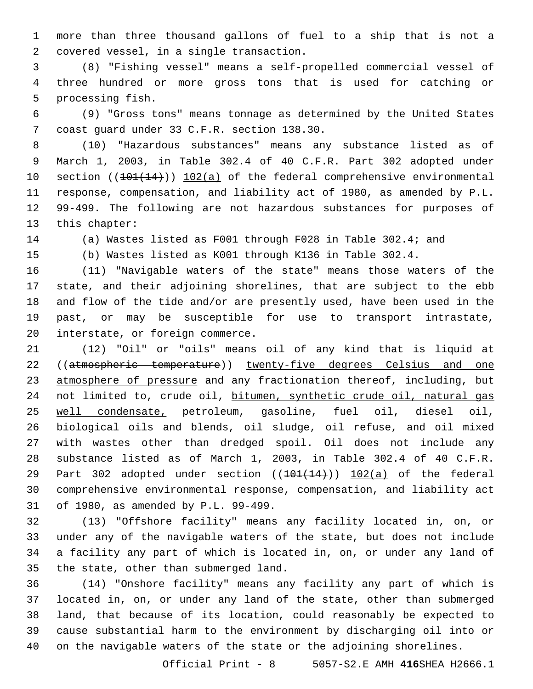more than three thousand gallons of fuel to a ship that is not a 2 covered vessel, in a single transaction.

 (8) "Fishing vessel" means a self-propelled commercial vessel of three hundred or more gross tons that is used for catching or 5 processing fish.

 (9) "Gross tons" means tonnage as determined by the United States 7 coast quard under 33 C.F.R. section 138.30.

 (10) "Hazardous substances" means any substance listed as of March 1, 2003, in Table 302.4 of 40 C.F.R. Part 302 adopted under 10 section ((101(14))) 102(a) of the federal comprehensive environmental response, compensation, and liability act of 1980, as amended by P.L. 99-499. The following are not hazardous substances for purposes of 13 this chapter:

(a) Wastes listed as F001 through F028 in Table 302.4; and

(b) Wastes listed as K001 through K136 in Table 302.4.

 (11) "Navigable waters of the state" means those waters of the state, and their adjoining shorelines, that are subject to the ebb and flow of the tide and/or are presently used, have been used in the past, or may be susceptible for use to transport intrastate, 20 interstate, or foreign commerce.

 (12) "Oil" or "oils" means oil of any kind that is liquid at 22 ((atmospheric temperature)) twenty-five degrees Celsius and one 23 atmosphere of pressure and any fractionation thereof, including, but 24 not limited to, crude oil, bitumen, synthetic crude oil, natural gas well condensate, petroleum, gasoline, fuel oil, diesel oil, biological oils and blends, oil sludge, oil refuse, and oil mixed with wastes other than dredged spoil. Oil does not include any substance listed as of March 1, 2003, in Table 302.4 of 40 C.F.R. 29 Part 302 adopted under section  $((101(14))$  102(a) of the federal comprehensive environmental response, compensation, and liability act 31 of 1980, as amended by P.L. 99-499.

 (13) "Offshore facility" means any facility located in, on, or under any of the navigable waters of the state, but does not include a facility any part of which is located in, on, or under any land of 35 the state, other than submerged land.

 (14) "Onshore facility" means any facility any part of which is located in, on, or under any land of the state, other than submerged land, that because of its location, could reasonably be expected to cause substantial harm to the environment by discharging oil into or on the navigable waters of the state or the adjoining shorelines.

Official Print - 8 5057-S2.E AMH **416**SHEA H2666.1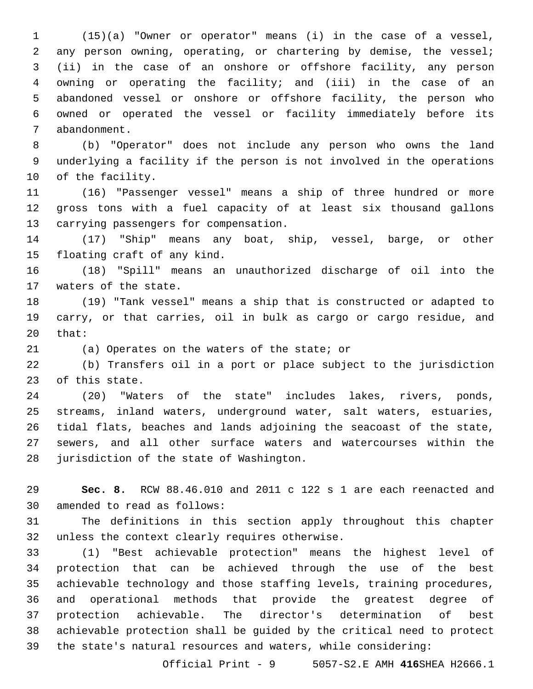(15)(a) "Owner or operator" means (i) in the case of a vessel, any person owning, operating, or chartering by demise, the vessel; (ii) in the case of an onshore or offshore facility, any person owning or operating the facility; and (iii) in the case of an abandoned vessel or onshore or offshore facility, the person who owned or operated the vessel or facility immediately before its 7 abandonment.

 (b) "Operator" does not include any person who owns the land underlying a facility if the person is not involved in the operations 10 of the facility.

 (16) "Passenger vessel" means a ship of three hundred or more gross tons with a fuel capacity of at least six thousand gallons 13 carrying passengers for compensation.

 (17) "Ship" means any boat, ship, vessel, barge, or other 15 floating craft of any kind.

 (18) "Spill" means an unauthorized discharge of oil into the 17 waters of the state.

 (19) "Tank vessel" means a ship that is constructed or adapted to carry, or that carries, oil in bulk as cargo or cargo residue, and 20 that:

21 (a) Operates on the waters of the state; or

 (b) Transfers oil in a port or place subject to the jurisdiction 23 of this state.

 (20) "Waters of the state" includes lakes, rivers, ponds, streams, inland waters, underground water, salt waters, estuaries, tidal flats, beaches and lands adjoining the seacoast of the state, sewers, and all other surface waters and watercourses within the 28 jurisdiction of the state of Washington.

 **Sec. 8.** RCW 88.46.010 and 2011 c 122 s 1 are each reenacted and 30 amended to read as follows:

 The definitions in this section apply throughout this chapter 32 unless the context clearly requires otherwise.

 (1) "Best achievable protection" means the highest level of protection that can be achieved through the use of the best achievable technology and those staffing levels, training procedures, and operational methods that provide the greatest degree of protection achievable. The director's determination of best achievable protection shall be guided by the critical need to protect the state's natural resources and waters, while considering:

Official Print - 9 5057-S2.E AMH **416**SHEA H2666.1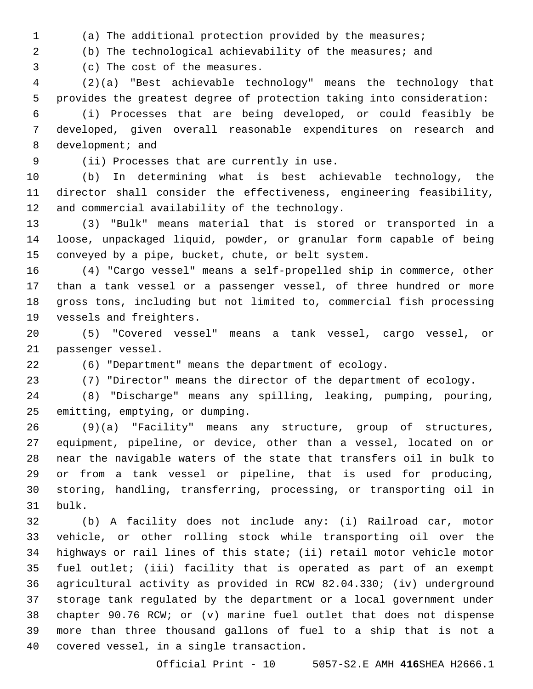(a) The additional protection provided by the measures;

(b) The technological achievability of the measures; and

3 (c) The cost of the measures.

 (2)(a) "Best achievable technology" means the technology that provides the greatest degree of protection taking into consideration:

 (i) Processes that are being developed, or could feasibly be developed, given overall reasonable expenditures on research and 8 development; and

9 (ii) Processes that are currently in use.

 (b) In determining what is best achievable technology, the director shall consider the effectiveness, engineering feasibility, 12 and commercial availability of the technology.

 (3) "Bulk" means material that is stored or transported in a loose, unpackaged liquid, powder, or granular form capable of being conveyed by a pipe, bucket, chute, or belt system.

 (4) "Cargo vessel" means a self-propelled ship in commerce, other than a tank vessel or a passenger vessel, of three hundred or more gross tons, including but not limited to, commercial fish processing 19 vessels and freighters.

 (5) "Covered vessel" means a tank vessel, cargo vessel, or 21 passenger vessel.

(6) "Department" means the department of ecology.

(7) "Director" means the director of the department of ecology.

 (8) "Discharge" means any spilling, leaking, pumping, pouring, 25 emitting, emptying, or dumping.

 (9)(a) "Facility" means any structure, group of structures, equipment, pipeline, or device, other than a vessel, located on or near the navigable waters of the state that transfers oil in bulk to or from a tank vessel or pipeline, that is used for producing, storing, handling, transferring, processing, or transporting oil in 31 bulk.

 (b) A facility does not include any: (i) Railroad car, motor vehicle, or other rolling stock while transporting oil over the highways or rail lines of this state; (ii) retail motor vehicle motor fuel outlet; (iii) facility that is operated as part of an exempt agricultural activity as provided in RCW 82.04.330; (iv) underground storage tank regulated by the department or a local government under chapter 90.76 RCW; or (v) marine fuel outlet that does not dispense more than three thousand gallons of fuel to a ship that is not a 40 covered vessel, in a single transaction.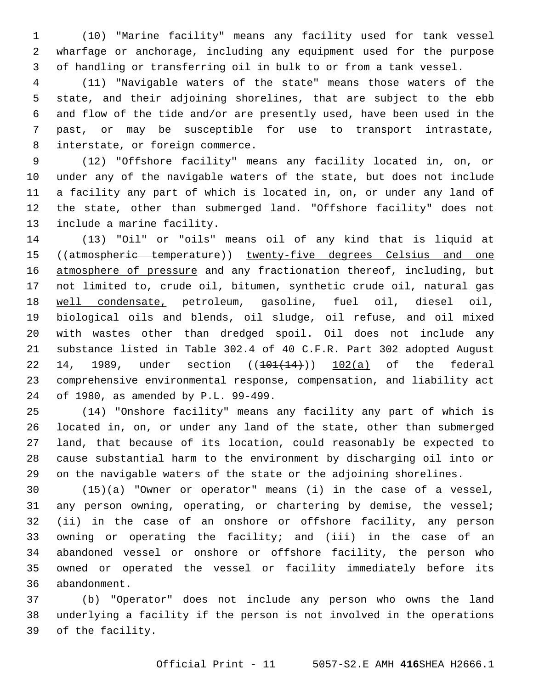(10) "Marine facility" means any facility used for tank vessel wharfage or anchorage, including any equipment used for the purpose of handling or transferring oil in bulk to or from a tank vessel.

 (11) "Navigable waters of the state" means those waters of the state, and their adjoining shorelines, that are subject to the ebb and flow of the tide and/or are presently used, have been used in the past, or may be susceptible for use to transport intrastate, 8 interstate, or foreign commerce.

 (12) "Offshore facility" means any facility located in, on, or under any of the navigable waters of the state, but does not include a facility any part of which is located in, on, or under any land of the state, other than submerged land. "Offshore facility" does not 13 include a marine facility.

 (13) "Oil" or "oils" means oil of any kind that is liquid at ((atmospheric temperature)) twenty-five degrees Celsius and one 16 atmosphere of pressure and any fractionation thereof, including, but not limited to, crude oil, bitumen, synthetic crude oil, natural gas well condensate, petroleum, gasoline, fuel oil, diesel oil, biological oils and blends, oil sludge, oil refuse, and oil mixed with wastes other than dredged spoil. Oil does not include any substance listed in Table 302.4 of 40 C.F.R. Part 302 adopted August 22 14, 1989, under section  $(101(14))$  102(a) of the federal comprehensive environmental response, compensation, and liability act 24 of 1980, as amended by P.L. 99-499.

 (14) "Onshore facility" means any facility any part of which is located in, on, or under any land of the state, other than submerged land, that because of its location, could reasonably be expected to cause substantial harm to the environment by discharging oil into or on the navigable waters of the state or the adjoining shorelines.

 (15)(a) "Owner or operator" means (i) in the case of a vessel, any person owning, operating, or chartering by demise, the vessel; (ii) in the case of an onshore or offshore facility, any person owning or operating the facility; and (iii) in the case of an abandoned vessel or onshore or offshore facility, the person who owned or operated the vessel or facility immediately before its 36 abandonment.

 (b) "Operator" does not include any person who owns the land underlying a facility if the person is not involved in the operations 39 of the facility.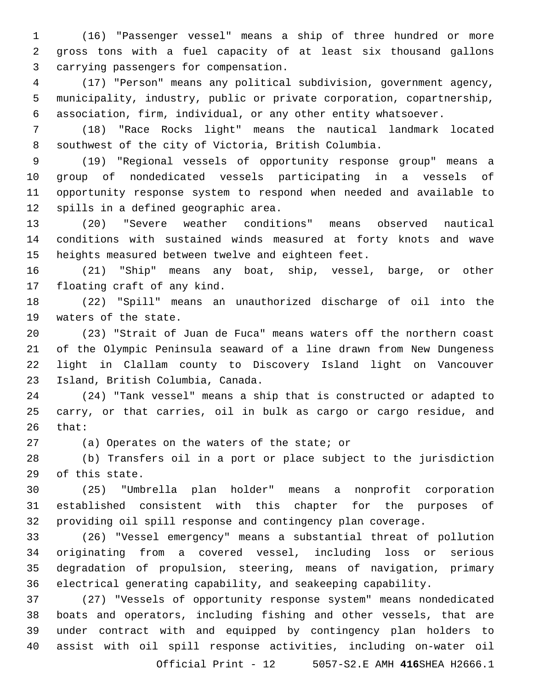(16) "Passenger vessel" means a ship of three hundred or more gross tons with a fuel capacity of at least six thousand gallons carrying passengers for compensation.3

 (17) "Person" means any political subdivision, government agency, municipality, industry, public or private corporation, copartnership, association, firm, individual, or any other entity whatsoever.

 (18) "Race Rocks light" means the nautical landmark located southwest of the city of Victoria, British Columbia.

 (19) "Regional vessels of opportunity response group" means a group of nondedicated vessels participating in a vessels of opportunity response system to respond when needed and available to 12 spills in a defined geographic area.

 (20) "Severe weather conditions" means observed nautical conditions with sustained winds measured at forty knots and wave heights measured between twelve and eighteen feet.

 (21) "Ship" means any boat, ship, vessel, barge, or other 17 floating craft of any kind.

 (22) "Spill" means an unauthorized discharge of oil into the 19 waters of the state.

 (23) "Strait of Juan de Fuca" means waters off the northern coast of the Olympic Peninsula seaward of a line drawn from New Dungeness light in Clallam county to Discovery Island light on Vancouver 23 Island, British Columbia, Canada.

 (24) "Tank vessel" means a ship that is constructed or adapted to carry, or that carries, oil in bulk as cargo or cargo residue, and that:

27 (a) Operates on the waters of the state; or

 (b) Transfers oil in a port or place subject to the jurisdiction 29 of this state.

 (25) "Umbrella plan holder" means a nonprofit corporation established consistent with this chapter for the purposes of providing oil spill response and contingency plan coverage.

 (26) "Vessel emergency" means a substantial threat of pollution originating from a covered vessel, including loss or serious degradation of propulsion, steering, means of navigation, primary electrical generating capability, and seakeeping capability.

 (27) "Vessels of opportunity response system" means nondedicated boats and operators, including fishing and other vessels, that are under contract with and equipped by contingency plan holders to assist with oil spill response activities, including on-water oil

Official Print - 12 5057-S2.E AMH **416**SHEA H2666.1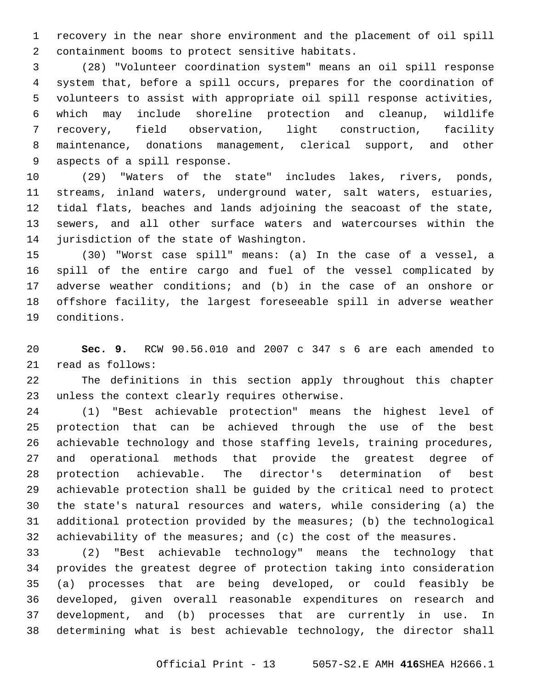recovery in the near shore environment and the placement of oil spill 2 containment booms to protect sensitive habitats.

 (28) "Volunteer coordination system" means an oil spill response system that, before a spill occurs, prepares for the coordination of volunteers to assist with appropriate oil spill response activities, which may include shoreline protection and cleanup, wildlife recovery, field observation, light construction, facility maintenance, donations management, clerical support, and other 9 aspects of a spill response.

 (29) "Waters of the state" includes lakes, rivers, ponds, streams, inland waters, underground water, salt waters, estuaries, tidal flats, beaches and lands adjoining the seacoast of the state, sewers, and all other surface waters and watercourses within the 14 jurisdiction of the state of Washington.

 (30) "Worst case spill" means: (a) In the case of a vessel, a spill of the entire cargo and fuel of the vessel complicated by adverse weather conditions; and (b) in the case of an onshore or offshore facility, the largest foreseeable spill in adverse weather conditions.19

 **Sec. 9.** RCW 90.56.010 and 2007 c 347 s 6 are each amended to 21 read as follows:

 The definitions in this section apply throughout this chapter 23 unless the context clearly requires otherwise.

 (1) "Best achievable protection" means the highest level of protection that can be achieved through the use of the best achievable technology and those staffing levels, training procedures, and operational methods that provide the greatest degree of protection achievable. The director's determination of best achievable protection shall be guided by the critical need to protect the state's natural resources and waters, while considering (a) the additional protection provided by the measures; (b) the technological achievability of the measures; and (c) the cost of the measures.

 (2) "Best achievable technology" means the technology that provides the greatest degree of protection taking into consideration (a) processes that are being developed, or could feasibly be developed, given overall reasonable expenditures on research and development, and (b) processes that are currently in use. In determining what is best achievable technology, the director shall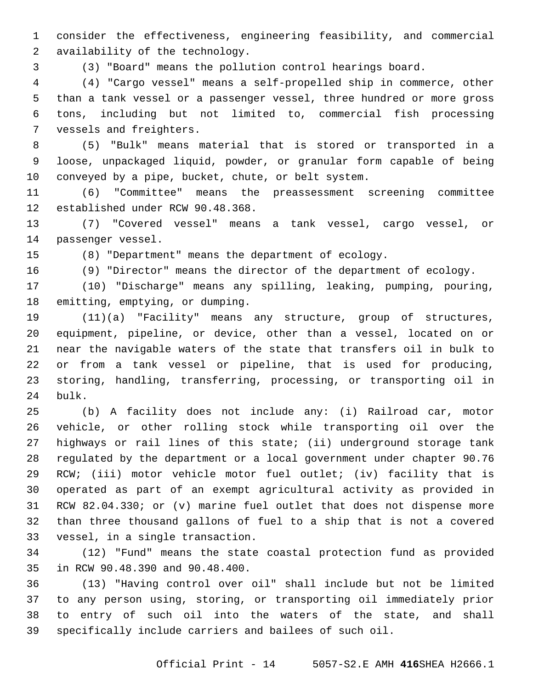consider the effectiveness, engineering feasibility, and commercial 2 availability of the technology.

(3) "Board" means the pollution control hearings board.

 (4) "Cargo vessel" means a self-propelled ship in commerce, other than a tank vessel or a passenger vessel, three hundred or more gross tons, including but not limited to, commercial fish processing 7 vessels and freighters.

 (5) "Bulk" means material that is stored or transported in a loose, unpackaged liquid, powder, or granular form capable of being conveyed by a pipe, bucket, chute, or belt system.

 (6) "Committee" means the preassessment screening committee 12 established under RCW 90.48.368.

 (7) "Covered vessel" means a tank vessel, cargo vessel, or 14 passenger vessel.

(8) "Department" means the department of ecology.

(9) "Director" means the director of the department of ecology.

 (10) "Discharge" means any spilling, leaking, pumping, pouring, 18 emitting, emptying, or dumping.

 (11)(a) "Facility" means any structure, group of structures, equipment, pipeline, or device, other than a vessel, located on or near the navigable waters of the state that transfers oil in bulk to or from a tank vessel or pipeline, that is used for producing, storing, handling, transferring, processing, or transporting oil in 24 bulk.

 (b) A facility does not include any: (i) Railroad car, motor vehicle, or other rolling stock while transporting oil over the highways or rail lines of this state; (ii) underground storage tank regulated by the department or a local government under chapter 90.76 RCW; (iii) motor vehicle motor fuel outlet; (iv) facility that is operated as part of an exempt agricultural activity as provided in RCW 82.04.330; or (v) marine fuel outlet that does not dispense more than three thousand gallons of fuel to a ship that is not a covered 33 vessel, in a single transaction.

 (12) "Fund" means the state coastal protection fund as provided 35 in RCW 90.48.390 and 90.48.400.

 (13) "Having control over oil" shall include but not be limited to any person using, storing, or transporting oil immediately prior to entry of such oil into the waters of the state, and shall specifically include carriers and bailees of such oil.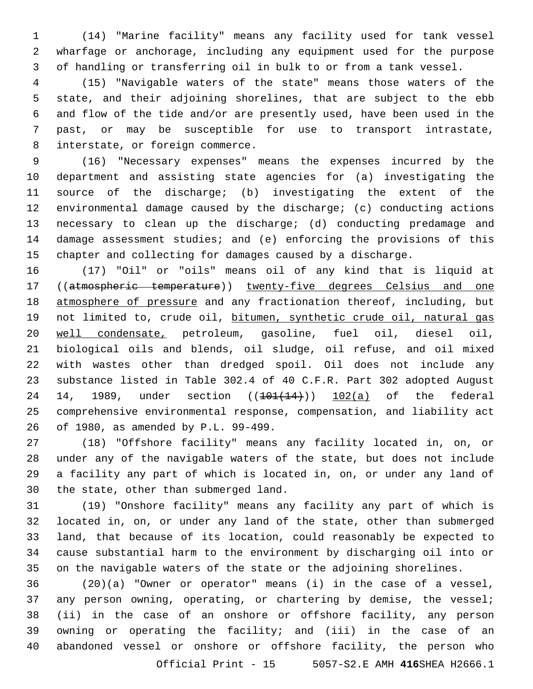(14) "Marine facility" means any facility used for tank vessel wharfage or anchorage, including any equipment used for the purpose of handling or transferring oil in bulk to or from a tank vessel.

 (15) "Navigable waters of the state" means those waters of the state, and their adjoining shorelines, that are subject to the ebb and flow of the tide and/or are presently used, have been used in the past, or may be susceptible for use to transport intrastate, 8 interstate, or foreign commerce.

 (16) "Necessary expenses" means the expenses incurred by the department and assisting state agencies for (a) investigating the source of the discharge; (b) investigating the extent of the environmental damage caused by the discharge; (c) conducting actions necessary to clean up the discharge; (d) conducting predamage and damage assessment studies; and (e) enforcing the provisions of this chapter and collecting for damages caused by a discharge.

 (17) "Oil" or "oils" means oil of any kind that is liquid at ((atmospheric temperature)) twenty-five degrees Celsius and one 18 atmosphere of pressure and any fractionation thereof, including, but 19 not limited to, crude oil, bitumen, synthetic crude oil, natural gas well condensate, petroleum, gasoline, fuel oil, diesel oil, biological oils and blends, oil sludge, oil refuse, and oil mixed with wastes other than dredged spoil. Oil does not include any substance listed in Table 302.4 of 40 C.F.R. Part 302 adopted August 24 14, 1989, under section  $((101(14))$   $102(a)$  of the federal comprehensive environmental response, compensation, and liability act of 1980, as amended by P.L. 99-499.26

 (18) "Offshore facility" means any facility located in, on, or under any of the navigable waters of the state, but does not include a facility any part of which is located in, on, or under any land of 30 the state, other than submerged land.

 (19) "Onshore facility" means any facility any part of which is located in, on, or under any land of the state, other than submerged land, that because of its location, could reasonably be expected to cause substantial harm to the environment by discharging oil into or on the navigable waters of the state or the adjoining shorelines.

 (20)(a) "Owner or operator" means (i) in the case of a vessel, any person owning, operating, or chartering by demise, the vessel; (ii) in the case of an onshore or offshore facility, any person owning or operating the facility; and (iii) in the case of an abandoned vessel or onshore or offshore facility, the person who

Official Print - 15 5057-S2.E AMH **416**SHEA H2666.1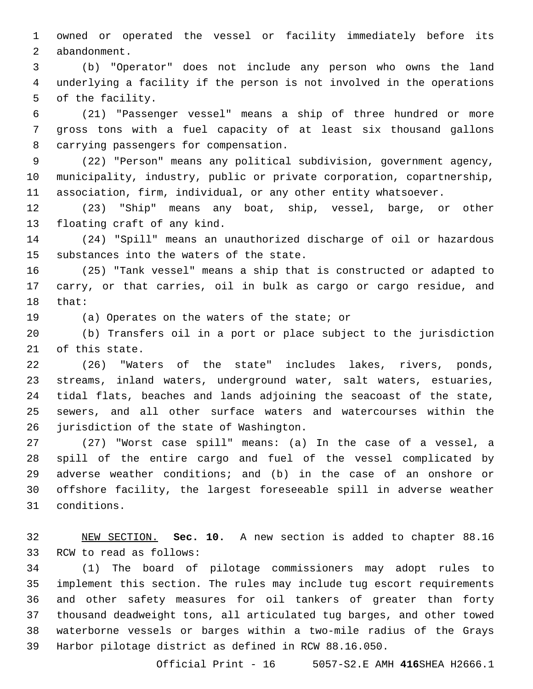owned or operated the vessel or facility immediately before its 2 abandonment.

 (b) "Operator" does not include any person who owns the land underlying a facility if the person is not involved in the operations 5 of the facility.

 (21) "Passenger vessel" means a ship of three hundred or more gross tons with a fuel capacity of at least six thousand gallons 8 carrying passengers for compensation.

 (22) "Person" means any political subdivision, government agency, municipality, industry, public or private corporation, copartnership, association, firm, individual, or any other entity whatsoever.

 (23) "Ship" means any boat, ship, vessel, barge, or other 13 floating craft of any kind.

 (24) "Spill" means an unauthorized discharge of oil or hazardous 15 substances into the waters of the state.

 (25) "Tank vessel" means a ship that is constructed or adapted to carry, or that carries, oil in bulk as cargo or cargo residue, and 18 that:

19 (a) Operates on the waters of the state; or

 (b) Transfers oil in a port or place subject to the jurisdiction 21 of this state.

 (26) "Waters of the state" includes lakes, rivers, ponds, streams, inland waters, underground water, salt waters, estuaries, tidal flats, beaches and lands adjoining the seacoast of the state, sewers, and all other surface waters and watercourses within the 26 jurisdiction of the state of Washington.

 (27) "Worst case spill" means: (a) In the case of a vessel, a spill of the entire cargo and fuel of the vessel complicated by adverse weather conditions; and (b) in the case of an onshore or offshore facility, the largest foreseeable spill in adverse weather conditions.31

 NEW SECTION. **Sec. 10.** A new section is added to chapter 88.16 33 RCW to read as follows:

 (1) The board of pilotage commissioners may adopt rules to implement this section. The rules may include tug escort requirements and other safety measures for oil tankers of greater than forty thousand deadweight tons, all articulated tug barges, and other towed waterborne vessels or barges within a two-mile radius of the Grays Harbor pilotage district as defined in RCW 88.16.050.

Official Print - 16 5057-S2.E AMH **416**SHEA H2666.1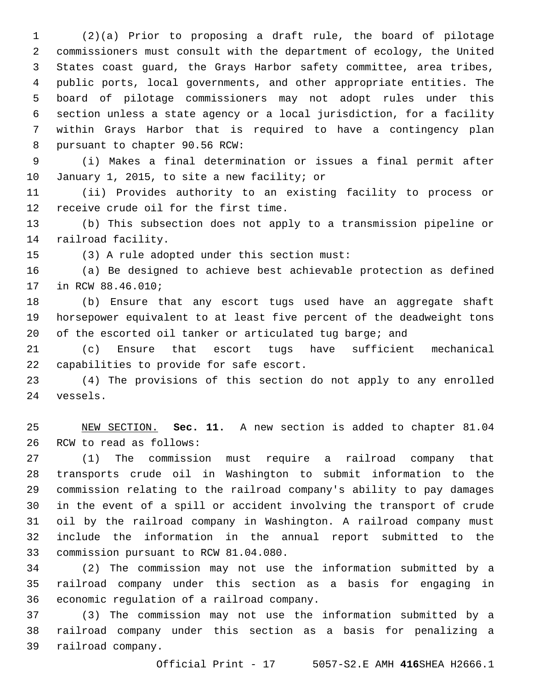(2)(a) Prior to proposing a draft rule, the board of pilotage commissioners must consult with the department of ecology, the United States coast guard, the Grays Harbor safety committee, area tribes, public ports, local governments, and other appropriate entities. The board of pilotage commissioners may not adopt rules under this section unless a state agency or a local jurisdiction, for a facility within Grays Harbor that is required to have a contingency plan 8 pursuant to chapter 90.56 RCW:

 (i) Makes a final determination or issues a final permit after 10 January 1, 2015, to site a new facility; or

 (ii) Provides authority to an existing facility to process or 12 receive crude oil for the first time.

 (b) This subsection does not apply to a transmission pipeline or 14 railroad facility.

15 (3) A rule adopted under this section must:

 (a) Be designed to achieve best achievable protection as defined 17 in RCW 88.46.010;

 (b) Ensure that any escort tugs used have an aggregate shaft horsepower equivalent to at least five percent of the deadweight tons of the escorted oil tanker or articulated tug barge; and

 (c) Ensure that escort tugs have sufficient mechanical 22 capabilities to provide for safe escort.

 (4) The provisions of this section do not apply to any enrolled 24 vessels.

 NEW SECTION. **Sec. 11.** A new section is added to chapter 81.04 26 RCW to read as follows:

 (1) The commission must require a railroad company that transports crude oil in Washington to submit information to the commission relating to the railroad company's ability to pay damages in the event of a spill or accident involving the transport of crude oil by the railroad company in Washington. A railroad company must include the information in the annual report submitted to the 33 commission pursuant to RCW 81.04.080.

 (2) The commission may not use the information submitted by a railroad company under this section as a basis for engaging in 36 economic regulation of a railroad company.

 (3) The commission may not use the information submitted by a railroad company under this section as a basis for penalizing a 39 railroad company.

Official Print - 17 5057-S2.E AMH **416**SHEA H2666.1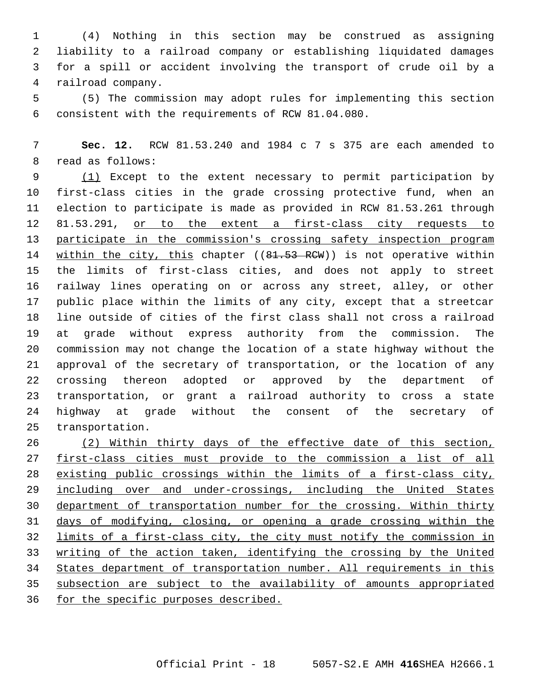(4) Nothing in this section may be construed as assigning liability to a railroad company or establishing liquidated damages for a spill or accident involving the transport of crude oil by a 4 railroad company.

 (5) The commission may adopt rules for implementing this section consistent with the requirements of RCW 81.04.080.6

 **Sec. 12.** RCW 81.53.240 and 1984 c 7 s 375 are each amended to 8 read as follows:

 (1) Except to the extent necessary to permit participation by first-class cities in the grade crossing protective fund, when an election to participate is made as provided in RCW 81.53.261 through 12 81.53.291, or to the extent a first-class city requests to participate in the commission's crossing safety inspection program 14 within the city, this chapter ((81.53 RCW)) is not operative within the limits of first-class cities, and does not apply to street railway lines operating on or across any street, alley, or other public place within the limits of any city, except that a streetcar line outside of cities of the first class shall not cross a railroad at grade without express authority from the commission. The commission may not change the location of a state highway without the approval of the secretary of transportation, or the location of any crossing thereon adopted or approved by the department of transportation, or grant a railroad authority to cross a state highway at grade without the consent of the secretary of 25 transportation.

 (2) Within thirty days of the effective date of this section, first-class cities must provide to the commission a list of all existing public crossings within the limits of a first-class city, 29 including over and under-crossings, including the United States department of transportation number for the crossing. Within thirty days of modifying, closing, or opening a grade crossing within the limits of a first-class city, the city must notify the commission in writing of the action taken, identifying the crossing by the United States department of transportation number. All requirements in this subsection are subject to the availability of amounts appropriated for the specific purposes described.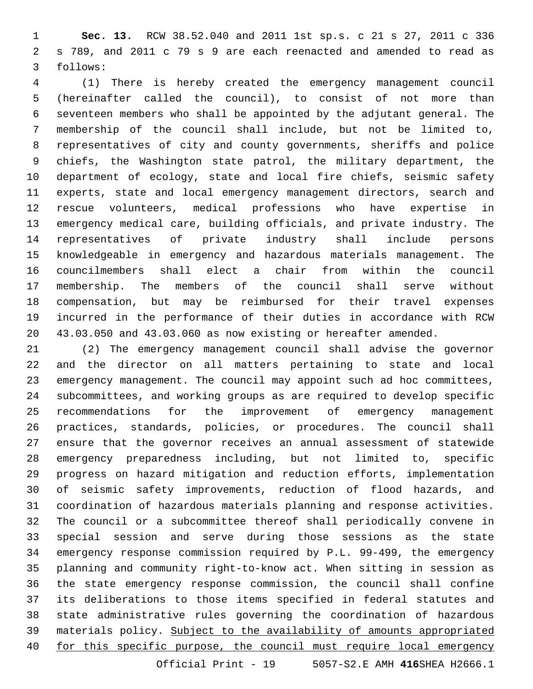**Sec. 13.** RCW 38.52.040 and 2011 1st sp.s. c 21 s 27, 2011 c 336 s 789, and 2011 c 79 s 9 are each reenacted and amended to read as 3 follows:

 (1) There is hereby created the emergency management council (hereinafter called the council), to consist of not more than seventeen members who shall be appointed by the adjutant general. The membership of the council shall include, but not be limited to, representatives of city and county governments, sheriffs and police chiefs, the Washington state patrol, the military department, the department of ecology, state and local fire chiefs, seismic safety experts, state and local emergency management directors, search and rescue volunteers, medical professions who have expertise in emergency medical care, building officials, and private industry. The representatives of private industry shall include persons knowledgeable in emergency and hazardous materials management. The councilmembers shall elect a chair from within the council membership. The members of the council shall serve without compensation, but may be reimbursed for their travel expenses incurred in the performance of their duties in accordance with RCW 43.03.050 and 43.03.060 as now existing or hereafter amended.

 (2) The emergency management council shall advise the governor and the director on all matters pertaining to state and local emergency management. The council may appoint such ad hoc committees, subcommittees, and working groups as are required to develop specific recommendations for the improvement of emergency management practices, standards, policies, or procedures. The council shall ensure that the governor receives an annual assessment of statewide emergency preparedness including, but not limited to, specific progress on hazard mitigation and reduction efforts, implementation of seismic safety improvements, reduction of flood hazards, and coordination of hazardous materials planning and response activities. The council or a subcommittee thereof shall periodically convene in special session and serve during those sessions as the state emergency response commission required by P.L. 99-499, the emergency planning and community right-to-know act. When sitting in session as the state emergency response commission, the council shall confine its deliberations to those items specified in federal statutes and state administrative rules governing the coordination of hazardous materials policy. Subject to the availability of amounts appropriated 40 for this specific purpose, the council must require local emergency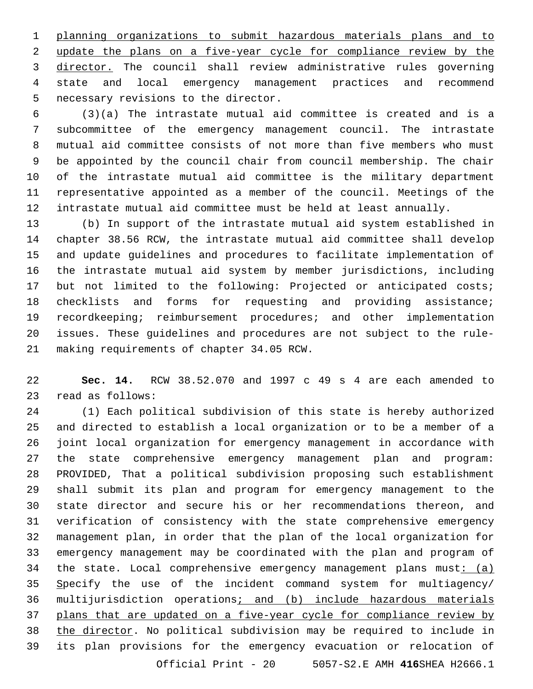planning organizations to submit hazardous materials plans and to update the plans on a five-year cycle for compliance review by the 3 director. The council shall review administrative rules governing state and local emergency management practices and recommend 5 necessary revisions to the director.

 (3)(a) The intrastate mutual aid committee is created and is a subcommittee of the emergency management council. The intrastate mutual aid committee consists of not more than five members who must be appointed by the council chair from council membership. The chair of the intrastate mutual aid committee is the military department representative appointed as a member of the council. Meetings of the intrastate mutual aid committee must be held at least annually.

 (b) In support of the intrastate mutual aid system established in chapter 38.56 RCW, the intrastate mutual aid committee shall develop and update guidelines and procedures to facilitate implementation of the intrastate mutual aid system by member jurisdictions, including but not limited to the following: Projected or anticipated costs; checklists and forms for requesting and providing assistance; recordkeeping; reimbursement procedures; and other implementation issues. These guidelines and procedures are not subject to the rule-21 making requirements of chapter 34.05 RCW.

 **Sec. 14.** RCW 38.52.070 and 1997 c 49 s 4 are each amended to 23 read as follows:

 (1) Each political subdivision of this state is hereby authorized and directed to establish a local organization or to be a member of a joint local organization for emergency management in accordance with the state comprehensive emergency management plan and program: PROVIDED, That a political subdivision proposing such establishment shall submit its plan and program for emergency management to the state director and secure his or her recommendations thereon, and verification of consistency with the state comprehensive emergency management plan, in order that the plan of the local organization for emergency management may be coordinated with the plan and program of 34 the state. Local comprehensive emergency management plans must:  $(a)$  Specify the use of the incident command system for multiagency/ multijurisdiction operations; and (b) include hazardous materials plans that are updated on a five-year cycle for compliance review by the director. No political subdivision may be required to include in its plan provisions for the emergency evacuation or relocation of Official Print - 20 5057-S2.E AMH **416**SHEA H2666.1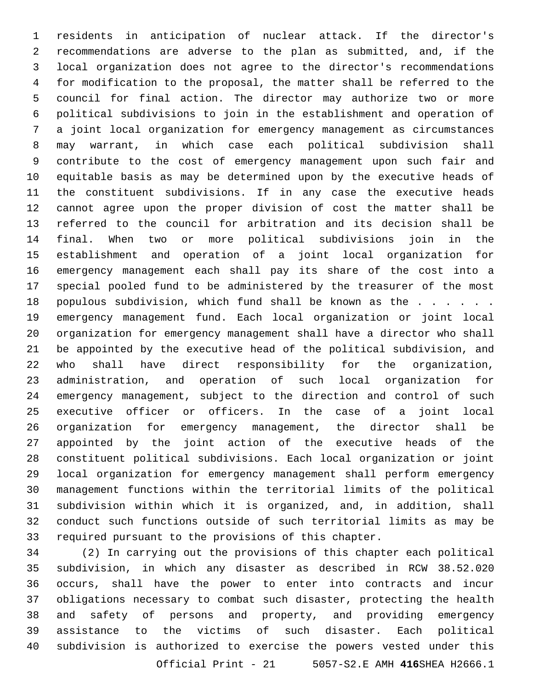residents in anticipation of nuclear attack. If the director's recommendations are adverse to the plan as submitted, and, if the local organization does not agree to the director's recommendations for modification to the proposal, the matter shall be referred to the council for final action. The director may authorize two or more political subdivisions to join in the establishment and operation of a joint local organization for emergency management as circumstances may warrant, in which case each political subdivision shall contribute to the cost of emergency management upon such fair and equitable basis as may be determined upon by the executive heads of the constituent subdivisions. If in any case the executive heads cannot agree upon the proper division of cost the matter shall be referred to the council for arbitration and its decision shall be final. When two or more political subdivisions join in the establishment and operation of a joint local organization for emergency management each shall pay its share of the cost into a special pooled fund to be administered by the treasurer of the most 18 populous subdivision, which fund shall be known as the . . . . . . emergency management fund. Each local organization or joint local organization for emergency management shall have a director who shall be appointed by the executive head of the political subdivision, and who shall have direct responsibility for the organization, administration, and operation of such local organization for emergency management, subject to the direction and control of such executive officer or officers. In the case of a joint local organization for emergency management, the director shall be appointed by the joint action of the executive heads of the constituent political subdivisions. Each local organization or joint local organization for emergency management shall perform emergency management functions within the territorial limits of the political subdivision within which it is organized, and, in addition, shall conduct such functions outside of such territorial limits as may be required pursuant to the provisions of this chapter.

 (2) In carrying out the provisions of this chapter each political subdivision, in which any disaster as described in RCW 38.52.020 occurs, shall have the power to enter into contracts and incur obligations necessary to combat such disaster, protecting the health and safety of persons and property, and providing emergency assistance to the victims of such disaster. Each political subdivision is authorized to exercise the powers vested under this Official Print - 21 5057-S2.E AMH **416**SHEA H2666.1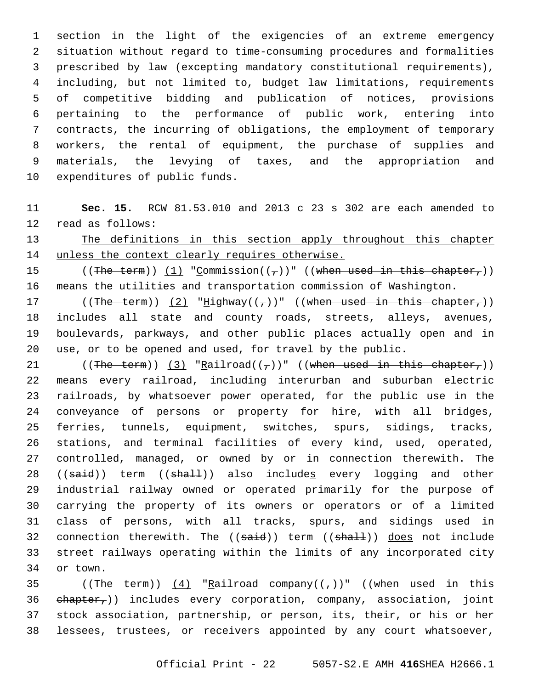section in the light of the exigencies of an extreme emergency situation without regard to time-consuming procedures and formalities prescribed by law (excepting mandatory constitutional requirements), including, but not limited to, budget law limitations, requirements of competitive bidding and publication of notices, provisions pertaining to the performance of public work, entering into contracts, the incurring of obligations, the employment of temporary workers, the rental of equipment, the purchase of supplies and materials, the levying of taxes, and the appropriation and 10 expenditures of public funds.

 **Sec. 15.** RCW 81.53.010 and 2013 c 23 s 302 are each amended to 12 read as follows:

13 The definitions in this section apply throughout this chapter unless the context clearly requires otherwise.

15 ((The term)) (1) "Commission( $(\tau)$ )" ((when used in this chapter,)) means the utilities and transportation commission of Washington.

17 ((The term)) (2) "Highway(( $\tau$ ))" ((when used in this chapter,)) includes all state and county roads, streets, alleys, avenues, boulevards, parkways, and other public places actually open and in use, or to be opened and used, for travel by the public.

21 ((The term)) (3) "Railroad( $(\tau)$ )" ((when used in this chapter,)) means every railroad, including interurban and suburban electric railroads, by whatsoever power operated, for the public use in the conveyance of persons or property for hire, with all bridges, ferries, tunnels, equipment, switches, spurs, sidings, tracks, stations, and terminal facilities of every kind, used, operated, controlled, managed, or owned by or in connection therewith. The 28 ((said)) term ((shall)) also includes every logging and other industrial railway owned or operated primarily for the purpose of carrying the property of its owners or operators or of a limited class of persons, with all tracks, spurs, and sidings used in 32 connection therewith. The  $((\text{said}))$  term  $((\text{shall}))$  does not include street railways operating within the limits of any incorporated city 34 or town.

35 ((The term))  $(4)$  "Railroad company(( $7$ ))" ((when used in this ehapter,)) includes every corporation, company, association, joint stock association, partnership, or person, its, their, or his or her lessees, trustees, or receivers appointed by any court whatsoever,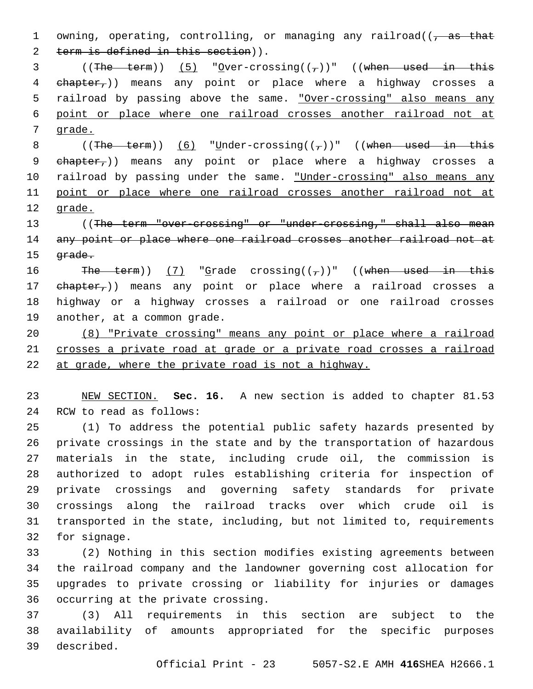1 owning, operating, controlling, or managing any railroad(( $\frac{1}{2}$  as that 2 term is defined in this section)). 3 ((The term)) (5) "Over-crossing( $(\tau)$ )" ((when used in this 4 ehapter,)) means any point or place where a highway crosses a 5 railroad by passing above the same. "Over-crossing" also means any 6 point or place where one railroad crosses another railroad not at 7 grade. 8 ((The term)) (6) "Under-crossing( $(\tau)$ )" ((when used in this 9 chapter,)) means any point or place where a highway crosses a 10 railroad by passing under the same. "Under-crossing" also means any 11 point or place where one railroad crosses another railroad not at 12 grade. 13 ((The term "over-crossing" or "under-crossing," shall also mean 14 any point or place where one railroad crosses another railroad not at 15 <del>grade.</del> 16 The term))  $(7)$  "Grade crossing( $(\tau)$ )" ((when used in this 17 ehapter,)) means any point or place where a railroad crosses a 18 highway or a highway crosses a railroad or one railroad crosses 19 another, at a common grade. 20 (8) "Private crossing" means any point or place where a railroad 21 crosses a private road at grade or a private road crosses a railroad 22 at grade, where the private road is not a highway. 23 NEW SECTION. **Sec. 16.** A new section is added to chapter 81.53 24 RCW to read as follows: 25 (1) To address the potential public safety hazards presented by 26 private crossings in the state and by the transportation of hazardous 27 materials in the state, including crude oil, the commission is 28 authorized to adopt rules establishing criteria for inspection of 29 private crossings and governing safety standards for private 30 crossings along the railroad tracks over which crude oil is 31 transported in the state, including, but not limited to, requirements 32 for signage. 33 (2) Nothing in this section modifies existing agreements between 34 the railroad company and the landowner governing cost allocation for 35 upgrades to private crossing or liability for injuries or damages 36 occurring at the private crossing.

37 (3) All requirements in this section are subject to the 38 availability of amounts appropriated for the specific purposes described.39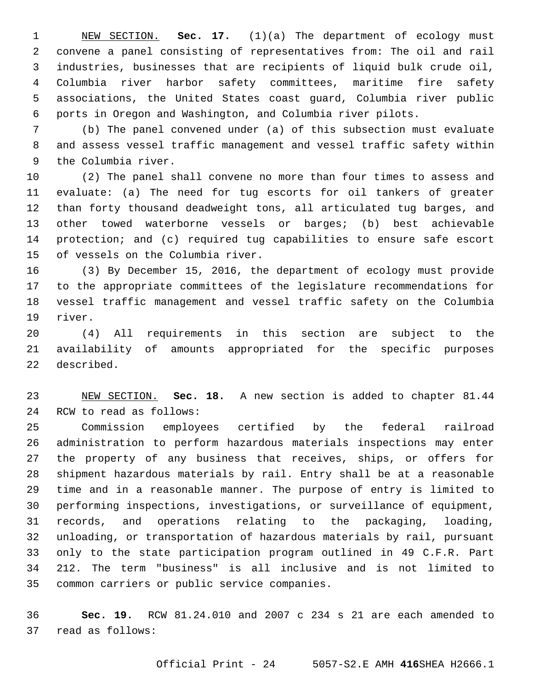NEW SECTION. **Sec. 17.** (1)(a) The department of ecology must convene a panel consisting of representatives from: The oil and rail industries, businesses that are recipients of liquid bulk crude oil, Columbia river harbor safety committees, maritime fire safety associations, the United States coast guard, Columbia river public ports in Oregon and Washington, and Columbia river pilots.

 (b) The panel convened under (a) of this subsection must evaluate and assess vessel traffic management and vessel traffic safety within 9 the Columbia river.

 (2) The panel shall convene no more than four times to assess and evaluate: (a) The need for tug escorts for oil tankers of greater than forty thousand deadweight tons, all articulated tug barges, and other towed waterborne vessels or barges; (b) best achievable protection; and (c) required tug capabilities to ensure safe escort 15 of vessels on the Columbia river.

 (3) By December 15, 2016, the department of ecology must provide to the appropriate committees of the legislature recommendations for vessel traffic management and vessel traffic safety on the Columbia 19 river.

 (4) All requirements in this section are subject to the availability of amounts appropriated for the specific purposes 22 described.

 NEW SECTION. **Sec. 18.** A new section is added to chapter 81.44 24 RCW to read as follows:

 Commission employees certified by the federal railroad administration to perform hazardous materials inspections may enter the property of any business that receives, ships, or offers for shipment hazardous materials by rail. Entry shall be at a reasonable time and in a reasonable manner. The purpose of entry is limited to performing inspections, investigations, or surveillance of equipment, records, and operations relating to the packaging, loading, unloading, or transportation of hazardous materials by rail, pursuant only to the state participation program outlined in 49 C.F.R. Part 212. The term "business" is all inclusive and is not limited to 35 common carriers or public service companies.

 **Sec. 19.** RCW 81.24.010 and 2007 c 234 s 21 are each amended to 37 read as follows: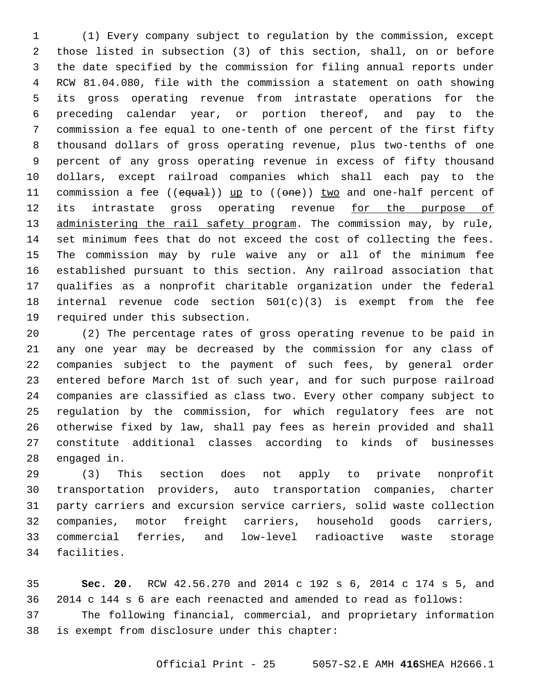(1) Every company subject to regulation by the commission, except those listed in subsection (3) of this section, shall, on or before the date specified by the commission for filing annual reports under RCW 81.04.080, file with the commission a statement on oath showing its gross operating revenue from intrastate operations for the preceding calendar year, or portion thereof, and pay to the commission a fee equal to one-tenth of one percent of the first fifty thousand dollars of gross operating revenue, plus two-tenths of one percent of any gross operating revenue in excess of fifty thousand dollars, except railroad companies which shall each pay to the 11 commission a fee ((equal)) up to ((one)) two and one-half percent of 12 its intrastate gross operating revenue for the purpose of 13 administering the rail safety program. The commission may, by rule, set minimum fees that do not exceed the cost of collecting the fees. The commission may by rule waive any or all of the minimum fee established pursuant to this section. Any railroad association that qualifies as a nonprofit charitable organization under the federal 18 internal revenue code section  $501(c)(3)$  is exempt from the fee 19 required under this subsection.

 (2) The percentage rates of gross operating revenue to be paid in any one year may be decreased by the commission for any class of companies subject to the payment of such fees, by general order entered before March 1st of such year, and for such purpose railroad companies are classified as class two. Every other company subject to regulation by the commission, for which regulatory fees are not otherwise fixed by law, shall pay fees as herein provided and shall constitute additional classes according to kinds of businesses 28 engaged in.

 (3) This section does not apply to private nonprofit transportation providers, auto transportation companies, charter party carriers and excursion service carriers, solid waste collection companies, motor freight carriers, household goods carriers, commercial ferries, and low-level radioactive waste storage 34 facilities.

 **Sec. 20.** RCW 42.56.270 and 2014 c 192 s 6, 2014 c 174 s 5, and 2014 c 144 s 6 are each reenacted and amended to read as follows: The following financial, commercial, and proprietary information 38 is exempt from disclosure under this chapter: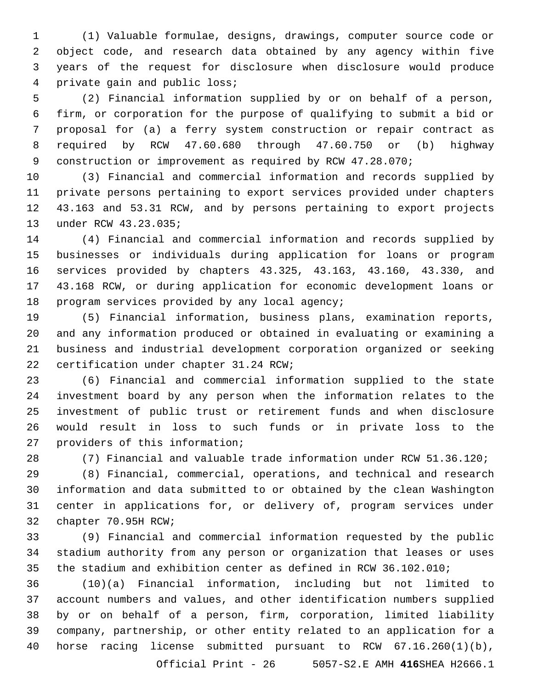(1) Valuable formulae, designs, drawings, computer source code or object code, and research data obtained by any agency within five years of the request for disclosure when disclosure would produce 4 private gain and public loss;

 (2) Financial information supplied by or on behalf of a person, firm, or corporation for the purpose of qualifying to submit a bid or proposal for (a) a ferry system construction or repair contract as required by RCW 47.60.680 through 47.60.750 or (b) highway construction or improvement as required by RCW 47.28.070;

 (3) Financial and commercial information and records supplied by private persons pertaining to export services provided under chapters 43.163 and 53.31 RCW, and by persons pertaining to export projects 13 under RCW 43.23.035;

 (4) Financial and commercial information and records supplied by businesses or individuals during application for loans or program services provided by chapters 43.325, 43.163, 43.160, 43.330, and 43.168 RCW, or during application for economic development loans or 18 program services provided by any local agency;

 (5) Financial information, business plans, examination reports, and any information produced or obtained in evaluating or examining a business and industrial development corporation organized or seeking 22 certification under chapter 31.24 RCW;

 (6) Financial and commercial information supplied to the state investment board by any person when the information relates to the investment of public trust or retirement funds and when disclosure would result in loss to such funds or in private loss to the 27 providers of this information;

(7) Financial and valuable trade information under RCW 51.36.120;

 (8) Financial, commercial, operations, and technical and research information and data submitted to or obtained by the clean Washington center in applications for, or delivery of, program services under 32 chapter 70.95H RCW;

 (9) Financial and commercial information requested by the public stadium authority from any person or organization that leases or uses the stadium and exhibition center as defined in RCW 36.102.010;

 (10)(a) Financial information, including but not limited to account numbers and values, and other identification numbers supplied by or on behalf of a person, firm, corporation, limited liability company, partnership, or other entity related to an application for a horse racing license submitted pursuant to RCW 67.16.260(1)(b),

Official Print - 26 5057-S2.E AMH **416**SHEA H2666.1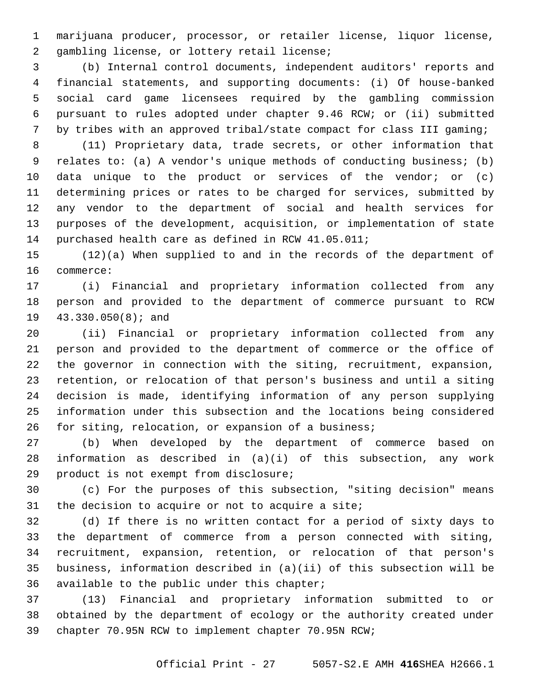marijuana producer, processor, or retailer license, liquor license, 2 gambling license, or lottery retail license;

 (b) Internal control documents, independent auditors' reports and financial statements, and supporting documents: (i) Of house-banked social card game licensees required by the gambling commission pursuant to rules adopted under chapter 9.46 RCW; or (ii) submitted by tribes with an approved tribal/state compact for class III gaming;

 (11) Proprietary data, trade secrets, or other information that relates to: (a) A vendor's unique methods of conducting business; (b) data unique to the product or services of the vendor; or (c) determining prices or rates to be charged for services, submitted by any vendor to the department of social and health services for purposes of the development, acquisition, or implementation of state purchased health care as defined in RCW 41.05.011;

 (12)(a) When supplied to and in the records of the department of 16 commerce:

 (i) Financial and proprietary information collected from any person and provided to the department of commerce pursuant to RCW 19 43.330.050(8); and

 (ii) Financial or proprietary information collected from any person and provided to the department of commerce or the office of the governor in connection with the siting, recruitment, expansion, retention, or relocation of that person's business and until a siting decision is made, identifying information of any person supplying information under this subsection and the locations being considered for siting, relocation, or expansion of a business;

 (b) When developed by the department of commerce based on information as described in (a)(i) of this subsection, any work 29 product is not exempt from disclosure;

 (c) For the purposes of this subsection, "siting decision" means 31 the decision to acquire or not to acquire a site;

 (d) If there is no written contact for a period of sixty days to the department of commerce from a person connected with siting, recruitment, expansion, retention, or relocation of that person's business, information described in (a)(ii) of this subsection will be 36 available to the public under this chapter;

 (13) Financial and proprietary information submitted to or obtained by the department of ecology or the authority created under chapter 70.95N RCW to implement chapter 70.95N RCW;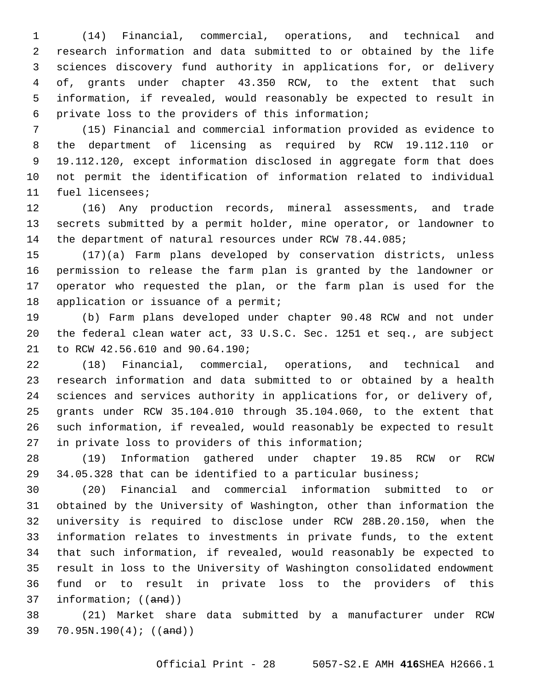(14) Financial, commercial, operations, and technical and research information and data submitted to or obtained by the life sciences discovery fund authority in applications for, or delivery of, grants under chapter 43.350 RCW, to the extent that such information, if revealed, would reasonably be expected to result in 6 private loss to the providers of this information;

 (15) Financial and commercial information provided as evidence to the department of licensing as required by RCW 19.112.110 or 19.112.120, except information disclosed in aggregate form that does not permit the identification of information related to individual 11 fuel licensees;

 (16) Any production records, mineral assessments, and trade secrets submitted by a permit holder, mine operator, or landowner to the department of natural resources under RCW 78.44.085;

 (17)(a) Farm plans developed by conservation districts, unless permission to release the farm plan is granted by the landowner or operator who requested the plan, or the farm plan is used for the 18 application or issuance of a permit;

 (b) Farm plans developed under chapter 90.48 RCW and not under the federal clean water act, 33 U.S.C. Sec. 1251 et seq., are subject 21 to RCW 42.56.610 and 90.64.190;

 (18) Financial, commercial, operations, and technical and research information and data submitted to or obtained by a health sciences and services authority in applications for, or delivery of, grants under RCW 35.104.010 through 35.104.060, to the extent that such information, if revealed, would reasonably be expected to result 27 in private loss to providers of this information;

 (19) Information gathered under chapter 19.85 RCW or RCW 34.05.328 that can be identified to a particular business;

 (20) Financial and commercial information submitted to or obtained by the University of Washington, other than information the university is required to disclose under RCW 28B.20.150, when the information relates to investments in private funds, to the extent that such information, if revealed, would reasonably be expected to result in loss to the University of Washington consolidated endowment fund or to result in private loss to the providers of this 37 information; ((and))

 (21) Market share data submitted by a manufacturer under RCW 70.95N.190(4); ((and))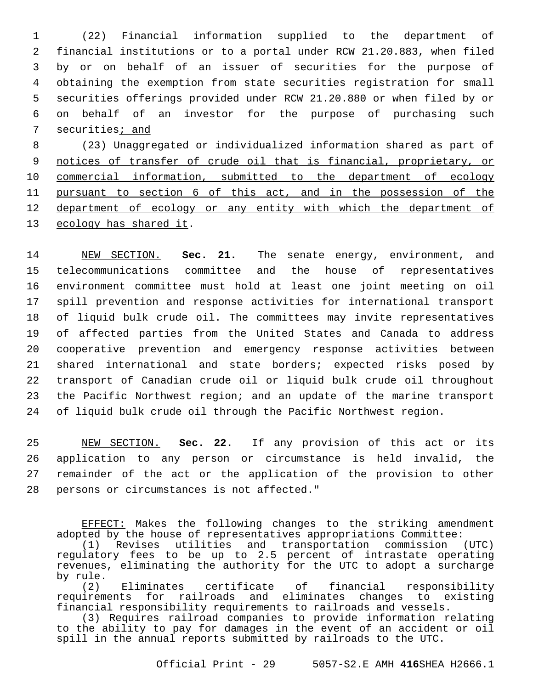(22) Financial information supplied to the department of financial institutions or to a portal under RCW 21.20.883, when filed by or on behalf of an issuer of securities for the purpose of obtaining the exemption from state securities registration for small securities offerings provided under RCW 21.20.880 or when filed by or on behalf of an investor for the purpose of purchasing such securities; and

 (23) Unaggregated or individualized information shared as part of notices of transfer of crude oil that is financial, proprietary, or commercial information, submitted to the department of ecology pursuant to section 6 of this act, and in the possession of the department of ecology or any entity with which the department of 13 ecology has shared it.

 NEW SECTION. **Sec. 21.** The senate energy, environment, and telecommunications committee and the house of representatives environment committee must hold at least one joint meeting on oil spill prevention and response activities for international transport of liquid bulk crude oil. The committees may invite representatives of affected parties from the United States and Canada to address cooperative prevention and emergency response activities between shared international and state borders; expected risks posed by transport of Canadian crude oil or liquid bulk crude oil throughout the Pacific Northwest region; and an update of the marine transport of liquid bulk crude oil through the Pacific Northwest region.

 NEW SECTION. **Sec. 22.** If any provision of this act or its application to any person or circumstance is held invalid, the remainder of the act or the application of the provision to other 28 persons or circumstances is not affected."

EFFECT: Makes the following changes to the striking amendment adopted by the house of representatives appropriations Committee:

(1) Revises utilities and transportation commission (UTC) regulatory fees to be up to 2.5 percent of intrastate operating revenues, eliminating the authority for the UTC to adopt a surcharge by rule.

(2) Eliminates certificate of financial responsibility requirements for railroads and eliminates changes to existing financial responsibility requirements to railroads and vessels.

(3) Requires railroad companies to provide information relating to the ability to pay for damages in the event of an accident or oil spill in the annual reports submitted by railroads to the UTC.